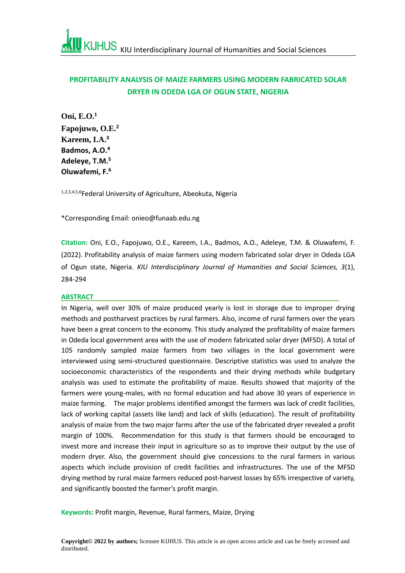# **PROFITABILITY ANALYSIS OF MAIZE FARMERS USING MODERN FABRICATED SOLAR DRYER IN ODEDA LGA OF OGUN STATE, NIGERIA**

**Oni, E.O.<sup>1</sup> Fapojuwo, O.E. 2 Kareem, I.A.<sup>3</sup> Badmos, A.O.<sup>4</sup> Adeleye, T.M.<sup>5</sup> Oluwafemi, F.<sup>6</sup>**

1,2,3,4,5,6Federal University of Agriculture, Abeokuta, Nigeria

\*Corresponding Email: onieo@funaab.edu.ng

**Citation:** Oni, E.O., Fapojuwo, O.E., Kareem, I.A., Badmos, A.O., Adeleye, T.M. & Oluwafemi, F. (2022). Profitability analysis of maize farmers using modern fabricated solar dryer in Odeda LGA of Ogun state, Nigeria. *KIU Interdisciplinary Journal of Humanities and Social Sciences, 3*(1), 284-294

#### **ABSTRACT**

In Nigeria, well over 30% of maize produced yearly is lost in storage due to improper drying methods and postharvest practices by rural farmers. Also, income of rural farmers over the years have been a great concern to the economy. This study analyzed the profitability of maize farmers in Odeda local government area with the use of modern fabricated solar dryer (MFSD). A total of 105 randomly sampled maize farmers from two villages in the local government were interviewed using semi-structured questionnaire. Descriptive statistics was used to analyze the socioeconomic characteristics of the respondents and their drying methods while budgetary analysis was used to estimate the profitability of maize. Results showed that majority of the farmers were young-males, with no formal education and had above 30 years of experience in maize farming. The major problems identified amongst the farmers was lack of credit facilities, lack of working capital (assets like land) and lack of skills (education). The result of profitability analysis of maize from the two major farms after the use of the fabricated dryer revealed a profit margin of 100%. Recommendation for this study is that farmers should be encouraged to invest more and increase their input in agriculture so as to improve their output by the use of modern dryer. Also, the government should give concessions to the rural farmers in various aspects which include provision of credit facilities and infrastructures. The use of the MFSD drying method by rural maize farmers reduced post-harvest losses by 65% irrespective of variety, and significantly boosted the farmer's profit margin.

**Keywords**: Profit margin, Revenue, Rural farmers, Maize, Drying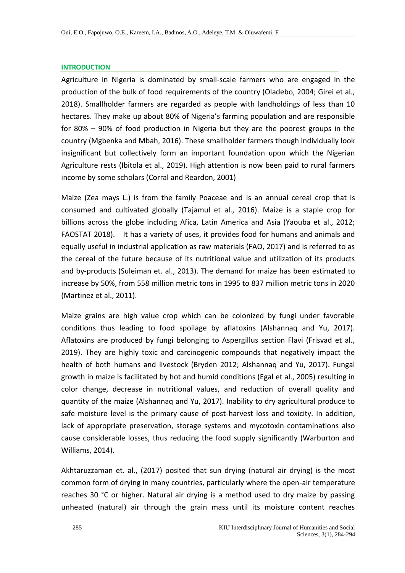### **INTRODUCTION**

Agriculture in Nigeria is dominated by small-scale farmers who are engaged in the production of the bulk of food requirements of the country (Oladebo, 2004; Girei et al., 2018). Smallholder farmers are regarded as people with landholdings of less than 10 hectares. They make up about 80% of Nigeria's farming population and are responsible for 80% – 90% of food production in Nigeria but they are the poorest groups in the country (Mgbenka and Mbah, 2016). These smallholder farmers though individually look insignificant but collectively form an important foundation upon which the Nigerian Agriculture rests (Ibitola et al., 2019). High attention is now been paid to rural farmers income by some scholars (Corral and Reardon, 2001)

Maize (Zea mays L.) is from the family Poaceae and is an annual cereal crop that is consumed and cultivated globally (Tajamul et al., 2016). Maize is a staple crop for billions across the globe including Afica, Latin America and Asia (Yaouba et al., 2012; FAOSTAT 2018). It has a variety of uses, it provides food for humans and animals and equally useful in industrial application as raw materials (FAO, 2017) and is referred to as the cereal of the future because of its nutritional value and utilization of its products and by-products (Suleiman et. al., 2013). The demand for maize has been estimated to increase by 50%, from 558 million metric tons in 1995 to 837 million metric tons in 2020 (Martinez et al., 2011).

Maize grains are high value crop which can be colonized by fungi under favorable conditions thus leading to food spoilage by aflatoxins (Alshannaq and Yu, 2017). Aflatoxins are produced by fungi belonging to Aspergillus section Flavi (Frisvad et al., 2019). They are highly toxic and carcinogenic compounds that negatively impact the health of both humans and livestock (Bryden 2012; Alshannaq and Yu, 2017). Fungal growth in maize is facilitated by hot and humid conditions (Egal et al., 2005) resulting in color change, decrease in nutritional values, and reduction of overall quality and quantity of the maize (Alshannaq and Yu, 2017). Inability to dry agricultural produce to safe moisture level is the primary cause of post-harvest loss and toxicity. In addition, lack of appropriate preservation, storage systems and mycotoxin contaminations also cause considerable losses, thus reducing the food supply significantly (Warburton and Williams, 2014).

Akhtaruzzaman et. al., (2017) posited that sun drying (natural air drying) is the most common form of drying in many countries, particularly where the open-air temperature reaches 30 °C or higher. Natural air drying is a method used to dry maize by passing unheated (natural) air through the grain mass until its moisture content reaches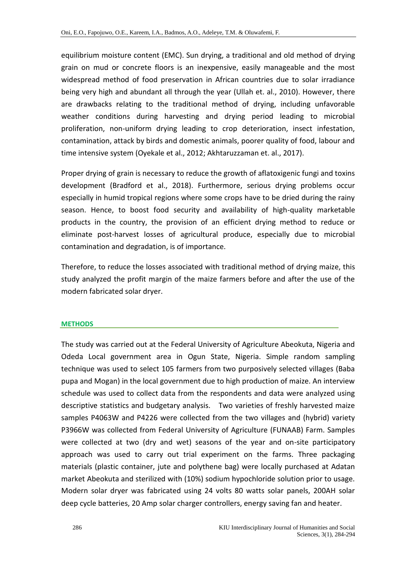equilibrium moisture content (EMC). Sun drying, a traditional and old method of drying grain on mud or concrete floors is an inexpensive, easily manageable and the most widespread method of food preservation in African countries due to solar irradiance being very high and abundant all through the year (Ullah et. al., 2010). However, there are drawbacks relating to the traditional method of drying, including unfavorable weather conditions during harvesting and drying period leading to microbial proliferation, non-uniform drying leading to crop deterioration, insect infestation, contamination, attack by birds and domestic animals, poorer quality of food, labour and time intensive system (Oyekale et al., 2012; Akhtaruzzaman et. al., 2017).

Proper drying of grain is necessary to reduce the growth of aflatoxigenic fungi and toxins development (Bradford et al., 2018). Furthermore, serious drying problems occur especially in humid tropical regions where some crops have to be dried during the rainy season. Hence, to boost food security and availability of high-quality marketable products in the country, the provision of an efficient drying method to reduce or eliminate post-harvest losses of agricultural produce, especially due to microbial contamination and degradation, is of importance.

Therefore, to reduce the losses associated with traditional method of drying maize, this study analyzed the profit margin of the maize farmers before and after the use of the modern fabricated solar dryer.

### **METHODS**

The study was carried out at the Federal University of Agriculture Abeokuta, Nigeria and Odeda Local government area in Ogun State, Nigeria. Simple random sampling technique was used to select 105 farmers from two purposively selected villages (Baba pupa and Mogan) in the local government due to high production of maize. An interview schedule was used to collect data from the respondents and data were analyzed using descriptive statistics and budgetary analysis. Two varieties of freshly harvested maize samples P4063W and P4226 were collected from the two villages and (hybrid) variety P3966W was collected from Federal University of Agriculture (FUNAAB) Farm. Samples were collected at two (dry and wet) seasons of the year and on-site participatory approach was used to carry out trial experiment on the farms. Three packaging materials (plastic container, jute and polythene bag) were locally purchased at Adatan market Abeokuta and sterilized with (10%) sodium hypochloride solution prior to usage. Modern solar dryer was fabricated using 24 volts 80 watts solar panels, 200AH solar deep cycle batteries, 20 Amp solar charger controllers, energy saving fan and heater.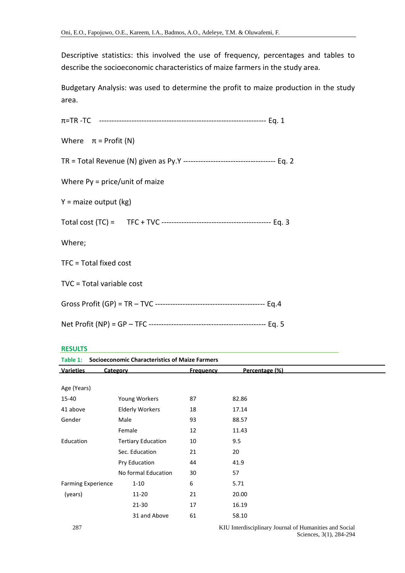Descriptive statistics: this involved the use of frequency, percentages and tables to describe the socioeconomic characteristics of maize farmers in the study area.

Budgetary Analysis: was used to determine the profit to maize production in the study area.

| Where $\pi$ = Profit (N)         |  |
|----------------------------------|--|
|                                  |  |
| Where $Py = price/unit$ of maize |  |
| $Y = maize output (kg)$          |  |
|                                  |  |
| Where;                           |  |
| TFC = Total fixed cost           |  |
| TVC = Total variable cost        |  |
|                                  |  |
|                                  |  |

#### **RESULTS**

| <b>Socioeconomic Characteristics of Maize Farmers</b><br>Table 1: |                           |                  |                |  |
|-------------------------------------------------------------------|---------------------------|------------------|----------------|--|
| <b>Varieties</b>                                                  | Category                  | <b>Frequency</b> | Percentage (%) |  |
|                                                                   |                           |                  |                |  |
| Age (Years)                                                       |                           |                  |                |  |
| 15-40                                                             | Young Workers             | 87               | 82.86          |  |
| 41 above                                                          | <b>Elderly Workers</b>    | 18               | 17.14          |  |
| Gender                                                            | Male                      | 93               | 88.57          |  |
|                                                                   | Female                    | 12               | 11.43          |  |
| Education                                                         | <b>Tertiary Education</b> | 10               | 9.5            |  |
|                                                                   | Sec. Education            | 21               | 20             |  |
|                                                                   | Pry Education             | 44               | 41.9           |  |
|                                                                   | No formal Education       | 30               | 57             |  |
| <b>Farming Experience</b>                                         | $1 - 10$                  | 6                | 5.71           |  |
| (years)                                                           | 11-20                     | 21               | 20.00          |  |
|                                                                   | 21-30                     | 17               | 16.19          |  |
|                                                                   | 31 and Above              | 61               | 58.10          |  |
|                                                                   |                           |                  |                |  |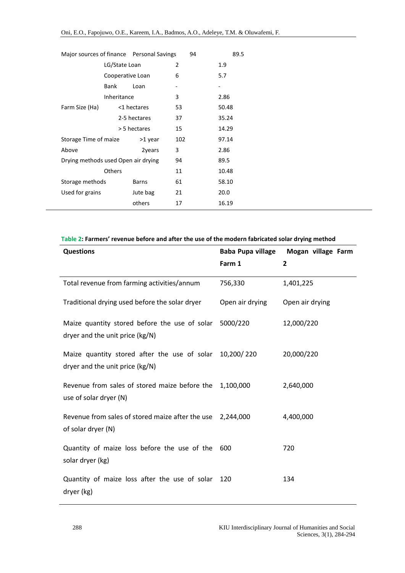| LG/State Loan<br>2<br>1.9<br>6<br>5.7<br>Cooperative Loan |  |
|-----------------------------------------------------------|--|
|                                                           |  |
|                                                           |  |
| Bank<br>Loan<br>-                                         |  |
| Inheritance<br>3<br>2.86                                  |  |
| 53<br>50.48<br>Farm Size (Ha)<br><1 hectares              |  |
| 2-5 hectares<br>37<br>35.24                               |  |
| 15<br>> 5 hectares<br>14.29                               |  |
| Storage Time of maize<br>102<br>>1 year<br>97.14          |  |
| 3<br>Above<br>2.86<br>2years                              |  |
| Drying methods used Open air drying<br>94<br>89.5         |  |
| <b>Others</b><br>11<br>10.48                              |  |
| 61<br>Storage methods<br>58.10<br>Barns                   |  |
| Used for grains<br>20.0<br>Jute bag<br>21                 |  |
| others<br>17<br>16.19                                     |  |

# **Table 2: Farmers' revenue before and after the use of the modern fabricated solar drying method**

| <b>Questions</b>                                                                           | Baba Pupa village | Mogan village Farm |
|--------------------------------------------------------------------------------------------|-------------------|--------------------|
|                                                                                            | Farm 1            | $\overline{2}$     |
| Total revenue from farming activities/annum                                                | 756,330           | 1,401,225          |
| Traditional drying used before the solar dryer                                             | Open air drying   | Open air drying    |
| Maize quantity stored before the use of solar<br>dryer and the unit price (kg/N)           | 5000/220          | 12,000/220         |
| Maize quantity stored after the use of solar 10,200/220<br>dryer and the unit price (kg/N) |                   | 20,000/220         |
| Revenue from sales of stored maize before the<br>use of solar dryer (N)                    | 1,100,000         | 2,640,000          |
| Revenue from sales of stored maize after the use<br>of solar dryer (N)                     | 2,244,000         | 4,400,000          |
| Quantity of maize loss before the use of the 600<br>solar dryer (kg)                       |                   | 720                |
| Quantity of maize loss after the use of solar<br>dryer (kg)                                | 120               | 134                |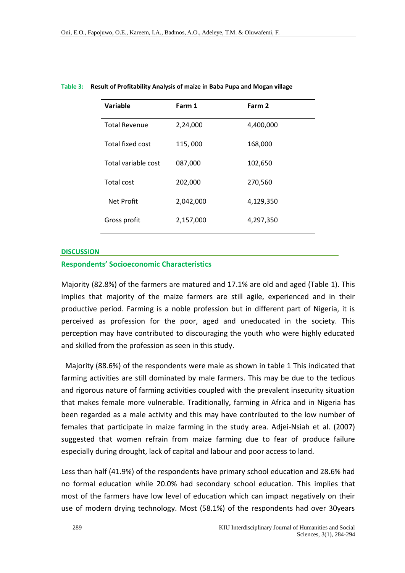| Variable             | Farm 1    | Farm 2    |
|----------------------|-----------|-----------|
| <b>Total Revenue</b> | 2,24,000  | 4,400,000 |
| Total fixed cost     | 115,000   | 168,000   |
| Total variable cost  | 087,000   | 102,650   |
| <b>Total cost</b>    | 202,000   | 270,560   |
| Net Profit           | 2,042,000 | 4,129,350 |
| Gross profit         | 2,157,000 | 4,297,350 |

#### **Table 3: Result of Profitability Analysis of maize in Baba Pupa and Mogan village**

#### **DISCUSSION**

### **Respondents' Socioeconomic Characteristics**

Majority (82.8%) of the farmers are matured and 17.1% are old and aged (Table 1). This implies that majority of the maize farmers are still agile, experienced and in their productive period. Farming is a noble profession but in different part of Nigeria, it is perceived as profession for the poor, aged and uneducated in the society. This perception may have contributed to discouraging the youth who were highly educated and skilled from the profession as seen in this study.

Majority (88.6%) of the respondents were male as shown in table 1 This indicated that farming activities are still dominated by male farmers. This may be due to the tedious and rigorous nature of farming activities coupled with the prevalent insecurity situation that makes female more vulnerable. Traditionally, farming in Africa and in Nigeria has been regarded as a male activity and this may have contributed to the low number of females that participate in maize farming in the study area. Adjei-Nsiah et al. (2007) suggested that women refrain from maize farming due to fear of produce failure especially during drought, lack of capital and labour and poor access to land.

Less than half (41.9%) of the respondents have primary school education and 28.6% had no formal education while 20.0% had secondary school education. This implies that most of the farmers have low level of education which can impact negatively on their use of modern drying technology. Most (58.1%) of the respondents had over 30years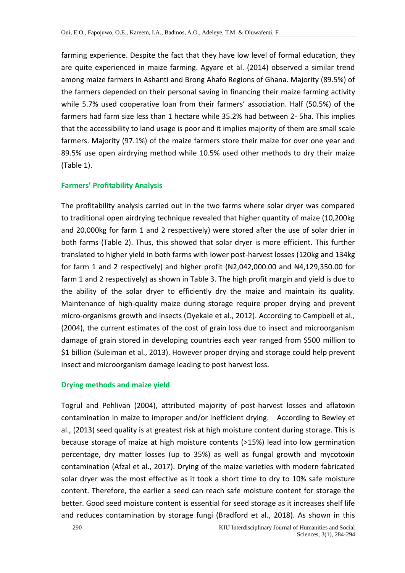farming experience. Despite the fact that they have low level of formal education, they are quite experienced in maize farming. Agyare et al. (2014) observed a similar trend among maize farmers in Ashanti and Brong Ahafo Regions of Ghana. Majority (89.5%) of the farmers depended on their personal saving in financing their maize farming activity while 5.7% used cooperative loan from their farmers' association. Half (50.5%) of the farmers had farm size less than 1 hectare while 35.2% had between 2- 5ha. This implies that the accessibility to land usage is poor and it implies majority of them are small scale farmers. Majority (97.1%) of the maize farmers store their maize for over one year and 89.5% use open airdrying method while 10.5% used other methods to dry their maize (Table 1).

# **Farmers' Profitability Analysis**

The profitability analysis carried out in the two farms where solar dryer was compared to traditional open airdrying technique revealed that higher quantity of maize (10,200kg and 20,000kg for farm 1 and 2 respectively) were stored after the use of solar drier in both farms (Table 2). Thus, this showed that solar dryer is more efficient. This further translated to higher yield in both farms with lower post-harvest losses (120kg and 134kg for farm 1 and 2 respectively) and higher profit  $(*2,042,000.00$  and  $*4,129,350.00$  for farm 1 and 2 respectively) as shown in Table 3. The high profit margin and yield is due to the ability of the solar dryer to efficiently dry the maize and maintain its quality. Maintenance of high-quality maize during storage require proper drying and prevent micro-organisms growth and insects (Oyekale et al., 2012). According to Campbell et al., (2004), the current estimates of the cost of grain loss due to insect and microorganism damage of grain stored in developing countries each year ranged from \$500 million to \$1 billion (Suleiman et al., 2013). However proper drying and storage could help prevent insect and microorganism damage leading to post harvest loss.

# **Drying methods and maize yield**

Togrul and Pehlivan (2004), attributed majority of post-harvest losses and aflatoxin contamination in maize to improper and/or inefficient drying. According to Bewley et al., (2013) seed quality is at greatest risk at high moisture content during storage. This is because storage of maize at high moisture contents (>15%) lead into low germination percentage, dry matter losses (up to 35%) as well as fungal growth and mycotoxin contamination (Afzal et al., 2017). Drying of the maize varieties with modern fabricated solar dryer was the most effective as it took a short time to dry to 10% safe moisture content. Therefore, the earlier a seed can reach safe moisture content for storage the better. Good seed moisture content is essential for seed storage as it increases shelf life and reduces contamination by storage fungi (Bradford et al., 2018). As shown in this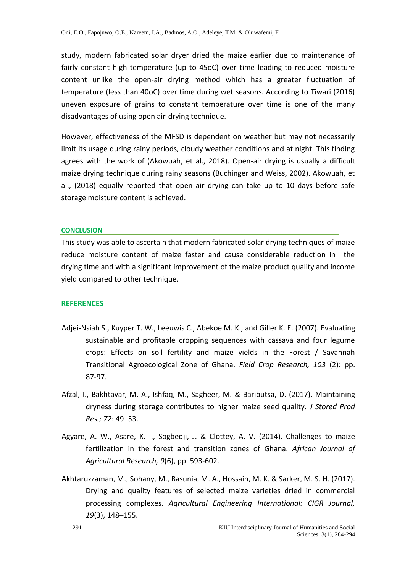study, modern fabricated solar dryer dried the maize earlier due to maintenance of fairly constant high temperature (up to 45oC) over time leading to reduced moisture content unlike the open-air drying method which has a greater fluctuation of temperature (less than 40oC) over time during wet seasons. According to Tiwari (2016) uneven exposure of grains to constant temperature over time is one of the many disadvantages of using open air-drying technique.

However, effectiveness of the MFSD is dependent on weather but may not necessarily limit its usage during rainy periods, cloudy weather conditions and at night. This finding agrees with the work of (Akowuah, et al., 2018). Open-air drying is usually a difficult maize drying technique during rainy seasons (Buchinger and Weiss, 2002). Akowuah, et al., (2018) equally reported that open air drying can take up to 10 days before safe storage moisture content is achieved.

# **CONCLUSION**

This study was able to ascertain that modern fabricated solar drying techniques of maize reduce moisture content of maize faster and cause considerable reduction in the drying time and with a significant improvement of the maize product quality and income yield compared to other technique.

# **REFERENCES**

- Adjei-Nsiah S., Kuyper T. W., Leeuwis C., Abekoe M. K., and Giller K. E. (2007). Evaluating sustainable and profitable cropping sequences with cassava and four legume crops: Effects on soil fertility and maize yields in the Forest / Savannah Transitional Agroecological Zone of Ghana. *Field Crop Research, 103* (2): pp. 87-97.
- Afzal, I., Bakhtavar, M. A., Ishfaq, M., Sagheer, M. & Baributsa, D. (2017). Maintaining dryness during storage contributes to higher maize seed quality. *J Stored Prod Res.; 72*: 49–53.
- Agyare, A. W., Asare, K. I., Sogbedji, J. & Clottey, A. V. (2014). Challenges to maize fertilization in the forest and transition zones of Ghana. *African Journal of Agricultural Research, 9*(6), pp. 593-602.
- Akhtaruzzaman, M., Sohany, M., Basunia, M. A., Hossain, M. K. & Sarker, M. S. H. (2017). Drying and quality features of selected maize varieties dried in commercial processing complexes. *Agricultural Engineering International: CIGR Journal, 19*(3), 148–155.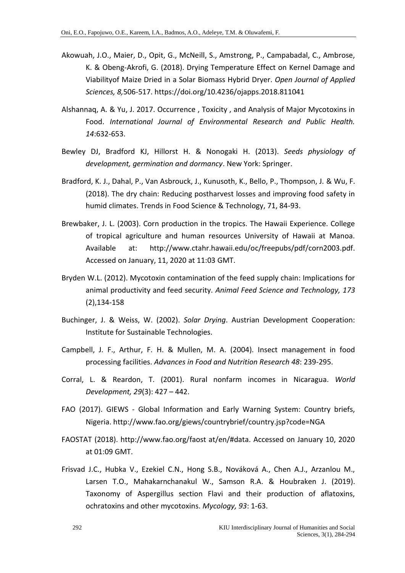- Akowuah, J.O., Maier, D., Opit, G., McNeill, S., Amstrong, P., Campabadal, C., Ambrose, K. & Obeng-Akrofi, G. (2018). Drying Temperature Effect on Kernel Damage and Viabilityof Maize Dried in a Solar Biomass Hybrid Dryer. *Open Journal of Applied Sciences, 8,*506-517. https://doi.org/10.4236/ojapps.2018.811041
- Alshannaq, A. & Yu, J. 2017. Occurrence , Toxicity , and Analysis of Major Mycotoxins in Food. *International Journal of Environmental Research and Public Health. 14*:632-653.
- Bewley DJ, Bradford KJ, Hillorst H. & Nonogaki H. (2013). *Seeds physiology of development, germination and dormancy*. New York: Springer.
- Bradford, K. J., Dahal, P., Van Asbrouck, J., Kunusoth, K., Bello, P., Thompson, J. & Wu, F. (2018). The dry chain: Reducing postharvest losses and improving food safety in humid climates. Trends in Food Science & Technology, 71, 84-93.
- Brewbaker, J. L. (2003). Corn production in the tropics. The Hawaii Experience. College of tropical agriculture and human resources University of Hawaii at Manoa. Available at: http://www.ctahr.hawaii.edu/oc/freepubs/pdf/corn2003.pdf. Accessed on January, 11, 2020 at 11:03 GMT.
- Bryden W.L. (2012). Mycotoxin contamination of the feed supply chain: Implications for animal productivity and feed security. *Animal Feed Science and Technology, 173* (2),134-158
- Buchinger, J. & Weiss, W. (2002). *Solar Drying*. Austrian Development Cooperation: Institute for Sustainable Technologies.
- Campbell, J. F., Arthur, F. H. & Mullen, M. A. (2004). Insect management in food processing facilities. *Advances in Food and Nutrition Research 48*: 239-295.
- Corral, L. & Reardon, T. (2001). Rural nonfarm incomes in Nicaragua. *World Development, 29*(3): 427 – 442.
- FAO (2017). GIEWS Global Information and Early Warning System: Country briefs, Nigeria. http://www.fao.org/giews/countrybrief/country.jsp?code=NGA
- FAOSTAT (2018). http://www.fao.org/faost at/en/#data. Accessed on January 10, 2020 at 01:09 GMT.
- Frisvad J.C., Hubka V., Ezekiel C.N., Hong S.B., Nováková A., Chen A.J., Arzanlou M., Larsen T.O., Mahakarnchanakul W., Samson R.A. & Houbraken J. (2019). Taxonomy of Aspergillus section Flavi and their production of aflatoxins, ochratoxins and other mycotoxins. *Mycology, 93*: 1-63.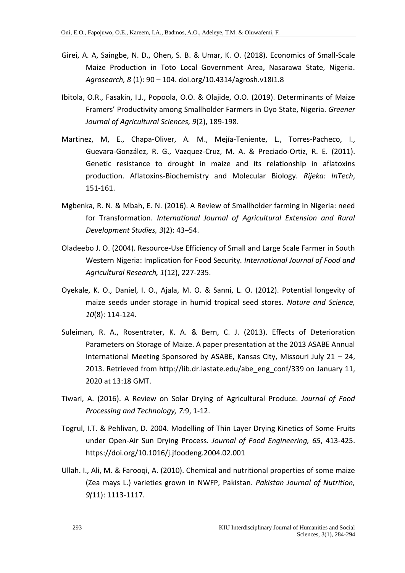- Girei, A. A, Saingbe, N. D., Ohen, S. B. & Umar, K. O. (2018). Economics of Small-Scale Maize Production in Toto Local Government Area, Nasarawa State, Nigeria. *Agrosearch, 8* (1): 90 – 104. doi.org/10.4314/agrosh.v18i1.8
- Ibitola, O.R., Fasakin, I.J., Popoola, O.O. & Olajide, O.O. (2019). Determinants of Maize Framers' Productivity among Smallholder Farmers in Oyo State, Nigeria. *Greener Journal of Agricultural Sciences, 9*(2), 189-198.
- Martinez, M, E., Chapa-Oliver, A. M., Mejía-Teniente, L., Torres-Pacheco, I., Guevara-González, R. G., Vazquez-Cruz, M. A. & Preciado-Ortiz, R. E. (2011). Genetic resistance to drought in maize and its relationship in aflatoxins production. Aflatoxins-Biochemistry and Molecular Biology. *Rijeka: InTech*, 151-161.
- Mgbenka, R. N. & Mbah, E. N. (2016). A Review of Smallholder farming in Nigeria: need for Transformation. *International Journal of Agricultural Extension and Rural Development Studies, 3*(2): 43–54.
- Oladeebo J. O. (2004). Resource-Use Efficiency of Small and Large Scale Farmer in South Western Nigeria: Implication for Food Security*. International Journal of Food and Agricultural Research, 1*(12), 227-235.
- Oyekale, K. O., Daniel, I. O., Ajala, M. O. & Sanni, L. O. (2012). Potential longevity of maize seeds under storage in humid tropical seed stores. *Nature and Science, 10*(8): 114-124.
- Suleiman, R. A., Rosentrater, K. A. & Bern, C. J. (2013). Effects of Deterioration Parameters on Storage of Maize. A paper presentation at the 2013 ASABE Annual International Meeting Sponsored by ASABE, Kansas City, Missouri July 21 – 24, 2013. Retrieved from http://lib.dr.iastate.edu/abe\_eng\_conf/339 on January 11, 2020 at 13:18 GMT.
- Tiwari, A. (2016). A Review on Solar Drying of Agricultural Produce. *Journal of Food Processing and Technology, 7:*9, 1-12.
- Togrul, I.T. & Pehlivan, D. 2004. Modelling of Thin Layer Drying Kinetics of Some Fruits under Open-Air Sun Drying Process*. Journal of Food Engineering, 65*, 413-425. https://doi.org/10.1016/j.jfoodeng.2004.02.001
- Ullah. I., Ali, M. & Farooqi, A. (2010). Chemical and nutritional properties of some maize (Zea mays L.) varieties grown in NWFP, Pakistan. *Pakistan Journal of Nutrition, 9(*11): 1113-1117.